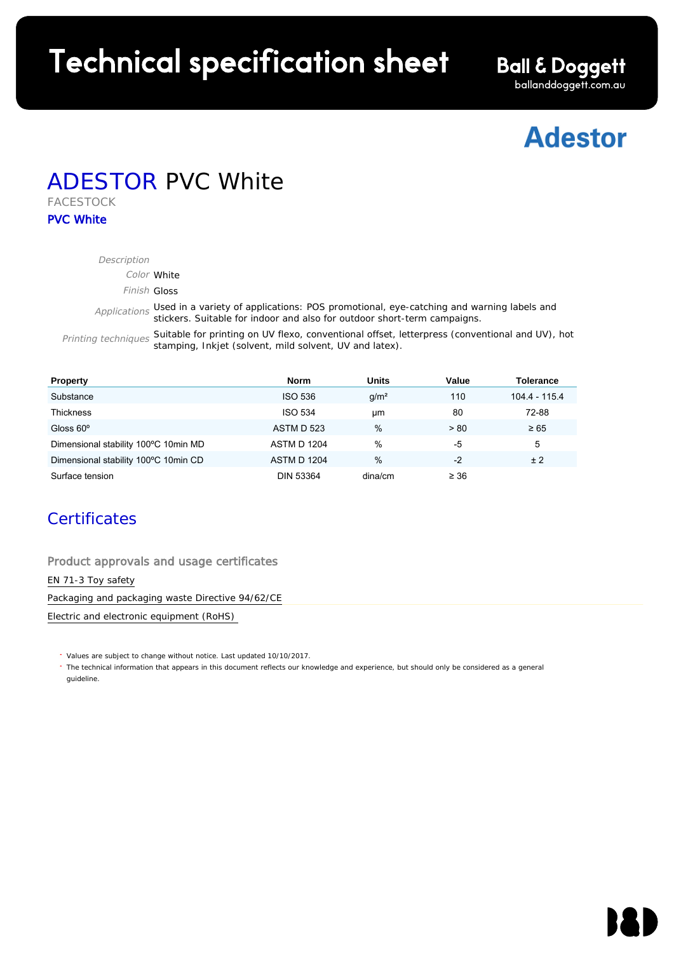# Technical specification sheet

**Ball & Doggett** ballanddoggett.com.au

## **Adestor**

### ADESTOR PVC White FACESTOCK

PVC White

| Description         |                                                                                                                                                                                  |
|---------------------|----------------------------------------------------------------------------------------------------------------------------------------------------------------------------------|
| Color White         |                                                                                                                                                                                  |
| Finish Gloss        |                                                                                                                                                                                  |
|                     | Applications Used in a variety of applications: POS promotional, eye-catching and warning labels and<br>stickers. Suitable for indoor and also for outdoor short-term campaigns. |
| Printing techniques | Suitable for printing on UV flexo, conventional offset, letterpress (conventional and UV), hot<br>stamping, Inkjet (solvent, mild solvent, UV and latex).                        |

| <b>Property</b>                      | <b>Norm</b>        | <b>Units</b>     | Value     | Tolerance     |
|--------------------------------------|--------------------|------------------|-----------|---------------|
| Substance                            | <b>ISO 536</b>     | q/m <sup>2</sup> | 110       | 104.4 - 115.4 |
| <b>Thickness</b>                     | <b>ISO 534</b>     | μm               | 80        | 72-88         |
| Gloss $60^\circ$                     | <b>ASTM D 523</b>  | $\%$             | > 80      | $\geq 65$     |
| Dimensional stability 100°C 10min MD | <b>ASTM D 1204</b> | %                | -5        | 5             |
| Dimensional stability 100°C 10min CD | <b>ASTM D 1204</b> | $\%$             | $-2$      | ±2            |
| Surface tension                      | <b>DIN 53364</b>   | dina/cm          | $\geq 36$ |               |

#### **Certificates**

Product approvals and usage certificates

EN 71-3 Toy safety

Packaging and packaging waste Directive 94/62/CE

Electric and electronic equipment (RoHS)

Values are subject to change without notice. Last updated 10/10/2017.

The technical information that appears in this document reflects our knowledge and experience, but should only be considered as a general guideline.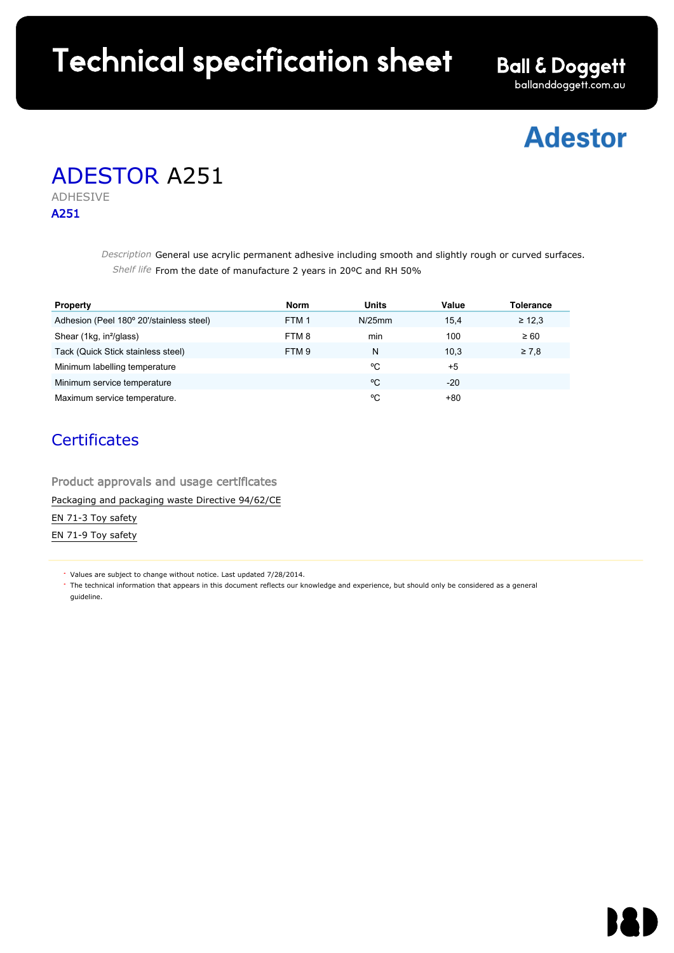# Technical specification sheet

**Ball & Doggett** ballanddoggett.com.au

## **Adestor**

## ADESTOR A251

ADHESIVE A251

> Description General use acrylic permanent adhesive including smooth and slightly rough or curved surfaces. Shelf life From the date of manufacture 2 years in 20ºC and RH 50%

| <b>Property</b>                          | Norm             | Units  | Value | <b>Tolerance</b> |
|------------------------------------------|------------------|--------|-------|------------------|
| Adhesion (Peel 180° 20'/stainless steel) | FTM <sub>1</sub> | N/25mm | 15.4  | $\geq 12.3$      |
| Shear (1kg, in <sup>2</sup> /glass)      | FTM 8            | min    | 100   | $\geq 60$        |
| Tack (Quick Stick stainless steel)       | FTM 9            | N      | 10.3  | $\geq 7.8$       |
| Minimum labelling temperature            |                  | °C     | $+5$  |                  |
| Minimum service temperature              |                  | °C     | -20   |                  |
| Maximum service temperature.             |                  | °C     | +80   |                  |

#### **Certificates**

Product approvals and usage certificates Packaging and packaging waste Directive 94/62/CE EN 71-3 Toy safety EN 71-9 Toy safety

Values are subject to change without notice. Last updated 7/28/2014.

The technical information that appears in this document reflects our knowledge and experience, but should only be considered as a general guideline.